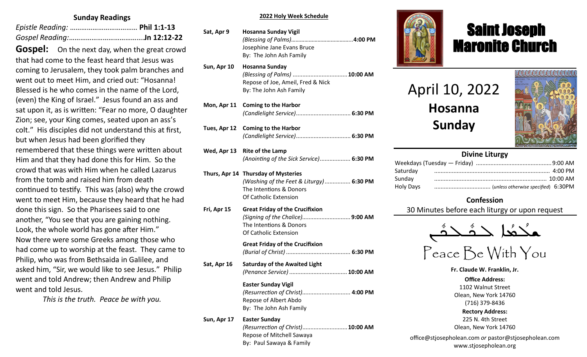### **Sunday Readings**

**Gospel:** On the next day, when the great crowd that had come to the feast heard that Jesus was coming to Jerusalem, they took palm branches and went out to meet Him, and cried out: "Hosanna! Blessed is he who comes in the name of the Lord, (even) the King of Israel." Jesus found an ass and sat upon it, as is written: "Fear no more, O daughter Zion; see, your King comes, seated upon an ass's colt." His disciples did not understand this at first, but when Jesus had been glorified they remembered that these things were written about Him and that they had done this for Him. So the crowd that was with Him when he called Lazarus from the tomb and raised him from death continued to testify. This was (also) why the crowd went to meet Him, because they heard that he had done this sign. So the Pharisees said to one another, "You see that you are gaining nothing. Look, the whole world has gone after Him." Now there were some Greeks among those who had come up to worship at the feast. They came to Philip, who was from Bethsaida in Galilee, and asked him, "Sir, we would like to see Jesus." Philip went and told Andrew; then Andrew and Philip went and told Jesus.

*This is the truth. Peace be with you.*

## **Liturgy Intentions 2022 Holy Week Schedule**

| Sat, Apr 9   | <b>Hosanna Sunday Vigil</b><br>Josephine Jane Evans Bruce<br>By: The John Ash Family                                                                      |
|--------------|-----------------------------------------------------------------------------------------------------------------------------------------------------------|
| Sun, Apr 10  | <b>Hosanna Sunday</b><br>(Blessing of Palms)  10:00 AM<br>Repose of Joe, Ameil, Fred & Nick<br>By: The John Ash Family                                    |
| Mon, Apr 11  | <b>Coming to the Harbor</b>                                                                                                                               |
| Tues, Apr 12 | <b>Coming to the Harbor</b>                                                                                                                               |
| Wed, Apr 13  | <b>Rite of the Lamp</b><br>(Anointing of the Sick Service) 6:30 PM<br>We                                                                                  |
|              | Satı<br>Thurs, Apr 14 Thursday of Mysteries<br>Sun<br>(Washing of the Feet & Liturgy)  6:30 PM<br>Hol<br>The Intentions & Donors<br>Of Catholic Extension |
| Fri, Apr 15  | <b>Great Friday of the Crucifixion</b><br>(Signing of the Chalice) 9:00 AM<br>The Intentions & Donors<br>Of Catholic Extension                            |
|              | <b>Great Friday of the Crucifixion</b>                                                                                                                    |
| Sat, Apr 16  | <b>Saturday of the Awaited Light</b>                                                                                                                      |
|              | <b>Easter Sunday Vigil</b><br>(Resurrection of Christ) 4:00 PM<br>Repose of Albert Abdo<br>By: The John Ash Family                                        |
| Sun, Apr 17  | <b>Easter Sunday</b><br>(Resurrection of Christ) 10:00 AM<br>Repose of Mitchell Sawaya<br>By: Paul Sawaya & Family                                        |



# Saint Joseph Maronite Church

April 10, 2022 **Hosanna Sunday**

ī



# **Divine Liturgy**

| Saturday  |  |
|-----------|--|
| Sunday    |  |
| Holy Days |  |
|           |  |

# **Confession**

30 Minutes before each liturgy or upon request



Peace Be With You

**Fr. Claude W. Franklin, Jr.**

**Office Address:** 1102 Walnut Street Olean, New York 14760 (716) 379-8436 **Rectory Address:** 225 N. 4th Street Olean, New York 14760

office@stjosepholean.com *or* pastor@stjosepholean.com www.stjosepholean.org